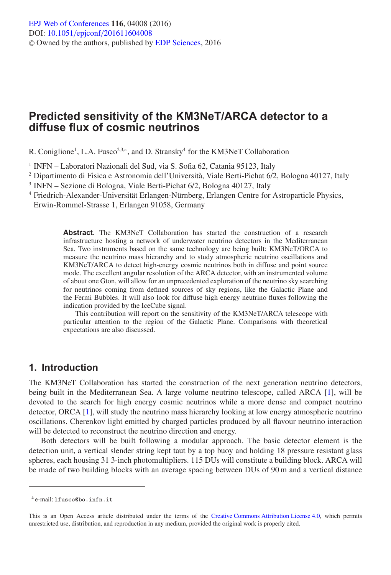# **Predicted sensitivity of the KM3NeT/ARCA detector to a diffuse flux of cosmic neutrinos**

R. Coniglione<sup>1</sup>, L.A. Fusco<sup>2,3,a</sup>, and D. Stransky<sup>4</sup> for the KM3NeT Collaboration

<sup>1</sup> INFN – Laboratori Nazionali del Sud, via S. Sofia 62, Catania 95123, Italy

- <sup>2</sup> Dipartimento di Fisica e Astronomia dell'Università, Viale Berti-Pichat 6/2, Bologna 40127, Italy
- <sup>3</sup> INFN Sezione di Bologna, Viale Berti-Pichat 6/2, Bologna 40127, Italy
- <sup>4</sup> Friedrich-Alexander-Universität Erlangen-Nürnberg, Erlangen Centre for Astroparticle Physics, Erwin-Rommel-Strasse 1, Erlangen 91058, Germany

**Abstract.** The KM3NeT Collaboration has started the construction of a research infrastructure hosting a network of underwater neutrino detectors in the Mediterranean Sea. Two instruments based on the same technology are being built: KM3NeT/ORCA to measure the neutrino mass hierarchy and to study atmospheric neutrino oscillations and KM3NeT/ARCA to detect high-energy cosmic neutrinos both in diffuse and point source mode. The excellent angular resolution of the ARCA detector, with an instrumented volume of about one Gton, will allow for an unprecedented exploration of the neutrino sky searching for neutrinos coming from defined sources of sky regions, like the Galactic Plane and the Fermi Bubbles. It will also look for diffuse high energy neutrino fluxes following the indication provided by the IceCube signal.

This contribution will report on the sensitivity of the KM3NeT/ARCA telescope with particular attention to the region of the Galactic Plane. Comparisons with theoretical expectations are also discussed.

### **1. Introduction**

The KM3NeT Collaboration has started the construction of the next generation neutrino detectors, being built in the Mediterranean Sea. A large volume neutrino telescope, called ARCA [\[1](#page-3-0)], will be devoted to the search for high energy cosmic neutrinos while a more dense and compact neutrino detector, ORCA [\[1\]](#page-3-0), will study the neutrino mass hierarchy looking at low energy atmospheric neutrino oscillations. Cherenkov light emitted by charged particles produced by all flavour neutrino interaction will be detected to reconstruct the neutrino direction and energy.

Both detectors will be built following a modular approach. The basic detector element is the detection unit, a vertical slender string kept taut by a top buoy and holding 18 pressure resistant glass spheres, each housing 31 3-inch photomultipliers. 115 DUs will constitute a building block. ARCA will be made of two building blocks with an average spacing between DUs of 90 m and a vertical distance

<sup>a</sup> e-mail: lfusco@bo.infn.it

This is an Open Access article distributed under the terms of the [Creative Commons Attribution License 4.0,](http://creativecommons.org/licenses/by/4.0/) which permits unrestricted use, distribution, and reproduction in any medium, provided the original work is properly cited.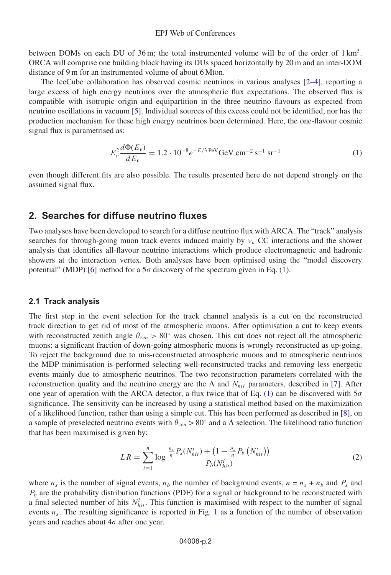between DOMs on each DU of 36 m; the total instrumented volume will be of the order of  $1 \text{ km}^3$ . ORCA will comprise one building block having its DUs spaced horizontally by 20 m and an inter-DOM distance of 9 m for an instrumented volume of about 6 Mton.

The IceCube collaboration has observed cosmic neutrinos in various analyses [\[2](#page-3-1)[–4](#page-3-2)], reporting a large excess of high energy neutrinos over the atmospheric flux expectations. The observed flux is compatible with isotropic origin and equipartition in the three neutrino flavours as expected from neutrino oscillations in vacuum [\[5\]](#page-3-3). Individual sources of this excess could not be identified, nor has the production mechanism for these high energy neutrinos been determined. Here, the one-flavour cosmic signal flux is parametrised as:

$$
E_{\nu}^{2} \frac{d\Phi(E_{\nu})}{dE_{\nu}} = 1.2 \cdot 10^{-8} e^{-E/3 \text{ PeV}} \text{GeV cm}^{-2} \text{s}^{-1} \text{ sr}^{-1}
$$
 (1)

<span id="page-1-0"></span>even though different fits are also possible. The results presented here do not depend strongly on the assumed signal flux.

### **2. Searches for diffuse neutrino fluxes**

Two analyses have been developed to search for a diffuse neutrino flux with ARCA. The "track" analysis searches for through-going muon track events induced mainly by  $v_u$  CC interactions and the shower analysis that identifies all-flavour neutrino interactions which produce electromagnetic and hadronic showers at the interaction vertex. Both analyses have been optimised using the "model discovery potential" (MDP) [\[6](#page-3-4)] method for a  $5\sigma$  discovery of the spectrum given in Eq. [\(1\)](#page-1-0).

#### <span id="page-1-1"></span>**2.1 Track analysis**

The first step in the event selection for the track channel analysis is a cut on the reconstructed track direction to get rid of most of the atmospheric muons. After optimisation a cut to keep events with reconstructed zenith angle  $\theta_{zen} > 80°$  was chosen. This cut does not reject all the atmospheric muons: a significant fraction of down-going atmospheric muons is wrongly reconstructed as up-going. To reject the background due to mis-reconstructed atmospheric muons and to atmospheric neutrinos the MDP minimisation is performed selecting well-reconstructed tracks and removing less energetic events mainly due to atmospheric neutrinos. The two reconstruction parameters correlated with the reconstruction quality and the neutrino energy are the  $\Lambda$  and  $N_{hit}$  parameters, described in [\[7](#page-3-5)]. After one year of operation with the ARCA detector, a flux twice that of Eq. [\(1\)](#page-1-0) can be discovered with  $5\sigma$ significance. The sensitivity can be increased by using a statistical method based on the maximization of a likelihood function, rather than using a simple cut. This has been performed as described in [\[8](#page-3-6)], on a sample of preselected neutrino events with  $\theta_{zen} > 80^\circ$  and a  $\Lambda$  selection. The likelihood ratio function that has been maximised is given by:

$$
LR = \sum_{i=1}^{n} \log \frac{\frac{n_s}{n} P_s(N_{hit}^i) + \left(1 - \frac{n_s}{n} P_b\left(N_{hit}^i\right)\right)}{P_b(N_{hit}^i)}
$$
(2)

where  $n_s$  is the number of signal events,  $n_b$  the number of background events,  $n = n_s + n_b$  and  $P_s$  and  $P_b$  are the probability distribution functions (PDF) for a signal or background to be reconstructed with a final selected number of hits  $N_{hit}^i$ . This function is maximised with respect to the number of signal events  $n_s$ . The resulting significance is reported in Fig. [1](#page-2-0) as a function of the number of observation years and reaches about  $4\sigma$  after one year.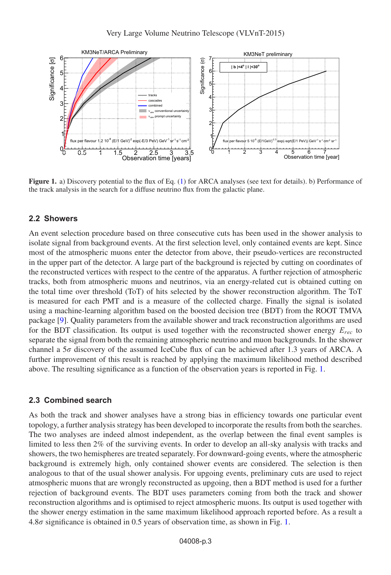<span id="page-2-0"></span>

**Figure 1.** a) Discovery potential to the flux of Eq. [\(1\)](#page-1-0) for ARCA analyses (see text for details). b) Performance of the track analysis in the search for a diffuse neutrino flux from the galactic plane.

### **2.2 Showers**

An event selection procedure based on three consecutive cuts has been used in the shower analysis to isolate signal from background events. At the first selection level, only contained events are kept. Since most of the atmospheric muons enter the detector from above, their pseudo-vertices are reconstructed in the upper part of the detector. A large part of the background is rejected by cutting on coordinates of the reconstructed vertices with respect to the centre of the apparatus. A further rejection of atmospheric tracks, both from atmospheric muons and neutrinos, via an energy-related cut is obtained cutting on the total time over threshold (ToT) of hits selected by the shower reconstruction algorithm. The ToT is measured for each PMT and is a measure of the collected charge. Finally the signal is isolated using a machine-learning algorithm based on the boosted decision tree (BDT) from the ROOT TMVA package [\[9\]](#page-3-7). Quality parameters from the available shower and track reconstruction algorithms are used for the BDT classification. Its output is used together with the reconstructed shower energy  $E_{rec}$  to separate the signal from both the remaining atmospheric neutrino and muon backgrounds. In the shower channel a  $5\sigma$  discovery of the assumed IceCube flux of can be achieved after 1.3 years of ARCA. A further improvement of this result is reached by applying the maximum likelihood method described above. The resulting significance as a function of the observation years is reported in Fig. [1.](#page-2-0)

#### **2.3 Combined search**

As both the track and shower analyses have a strong bias in efficiency towards one particular event topology, a further analysis strategy has been developed to incorporate the results from both the searches. The two analyses are indeed almost independent, as the overlap between the final event samples is limited to less then 2% of the surviving events. In order to develop an all-sky analysis with tracks and showers, the two hemispheres are treated separately. For downward-going events, where the atmospheric background is extremely high, only contained shower events are considered. The selection is then analogous to that of the usual shower analysis. For upgoing events, preliminary cuts are used to reject atmospheric muons that are wrongly reconstructed as upgoing, then a BDT method is used for a further rejection of background events. The BDT uses parameters coming from both the track and shower reconstruction algorithms and is optimised to reject atmospheric muons. Its output is used together with the shower energy estimation in the same maximum likelihood approach reported before. As a result a 4.8 $\sigma$  significance is obtained in 0.5 years of observation time, as shown in Fig. [1.](#page-2-0)